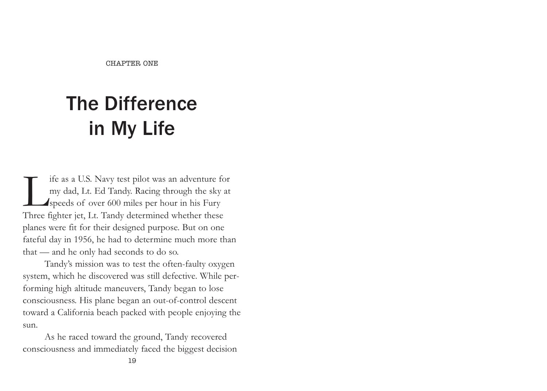# The Difference in My Life

If if as a U.S. Navy test pilot was an adventure for<br>my dad, Lt. Ed Tandy. Racing through the sky at<br>speeds of over 600 miles per hour in his Fury<br>Three fighter jet. It. Tandy determined whether these my dad, Lt. Ed Tandy. Racing through the sky at speeds of over 600 miles per hour in his Fury Three fighter jet, Lt. Tandy determined whether these planes were fit for their designed purpose. But on one fateful day in 1956, he had to determine much more than that — and he only had seconds to do so.

Tandy's mission was to test the often-faulty oxygen system, which he discovered was still defective. While performing high altitude maneuvers, Tandy began to lose consciousness. His plane began an out-of-control descent toward a California beach packed with people enjoying the sun.

As he raced toward the ground, Tandy recovered consciousness and immediately faced the biggest decision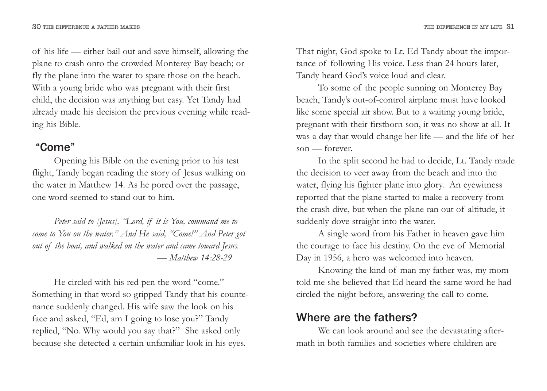of his life — either bail out and save himself, allowing the plane to crash onto the crowded Monterey Bay beach; or fly the plane into the water to spare those on the beach. With a young bride who was pregnant with their first child, the decision was anything but easy. Yet Tandy had already made his decision the previous evening while reading his Bible.

### "Come"

Opening his Bible on the evening prior to his test flight, Tandy began reading the story of Jesus walking on the water in Matthew 14. As he pored over the passage, one word seemed to stand out to him.

*Peter said to [Jesus], "Lord, if it is You, command me to come to You on the water." And He said, "Come!" And Peter got out of the boat, and walked on the water and came toward Jesus. — Matthew 14:28-29*

He circled with his red pen the word "come." Something in that word so gripped Tandy that his countenance suddenly changed. His wife saw the look on his face and asked, "Ed, am I going to lose you?" Tandy replied, "No. Why would you say that?" She asked only because she detected a certain unfamiliar look in his eyes.

That night, God spoke to Lt. Ed Tandy about the importance of following His voice. Less than 24 hours later, Tandy heard God's voice loud and clear.

To some of the people sunning on Monterey Bay beach, Tandy's out-of-control airplane must have looked like some special air show. But to a waiting young bride, pregnant with their firstborn son, it was no show at all. It was a day that would change her life — and the life of her son — forever.

In the split second he had to decide, Lt. Tandy made the decision to veer away from the beach and into the water, flying his fighter plane into glory. An eyewitness reported that the plane started to make a recovery from the crash dive, but when the plane ran out of altitude, it suddenly dove straight into the water.

A single word from his Father in heaven gave him the courage to face his destiny. On the eve of Memorial Day in 1956, a hero was welcomed into heaven.

Knowing the kind of man my father was, my mom told me she believed that Ed heard the same word he had circled the night before, answering the call to come.

## Where are the fathers?

We can look around and see the devastating aftermath in both families and societies where children are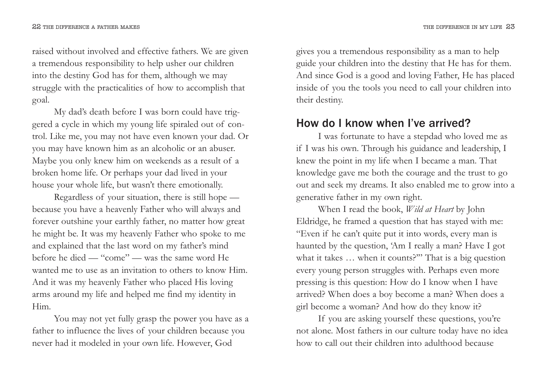raised without involved and effective fathers. We are given a tremendous responsibility to help usher our children into the destiny God has for them, although we may struggle with the practicalities of how to accomplish that goal.

My dad's death before I was born could have triggered a cycle in which my young life spiraled out of control. Like me, you may not have even known your dad. Or you may have known him as an alcoholic or an abuser. Maybe you only knew him on weekends as a result of a broken home life. Or perhaps your dad lived in your house your whole life, but wasn't there emotionally.

Regardless of your situation, there is still hope because you have a heavenly Father who will always and forever outshine your earthly father, no matter how great he might be. It was my heavenly Father who spoke to me and explained that the last word on my father's mind before he died — "come" — was the same word He wanted me to use as an invitation to others to know Him. And it was my heavenly Father who placed His loving arms around my life and helped me find my identity in Him.

You may not yet fully grasp the power you have as a father to influence the lives of your children because you never had it modeled in your own life. However, God

gives you a tremendous responsibility as a man to help guide your children into the destiny that He has for them. And since God is a good and loving Father, He has placed inside of you the tools you need to call your children into their destiny.

## How do I know when I've arrived?

I was fortunate to have a stepdad who loved me as if I was his own. Through his guidance and leadership, I knew the point in my life when I became a man. That knowledge gave me both the courage and the trust to go out and seek my dreams. It also enabled me to grow into a generative father in my own right.

When I read the book, *Wild at Heart* by John Eldridge, he framed a question that has stayed with me: "Even if he can't quite put it into words, every man is haunted by the question, 'Am I really a man? Have I got what it takes ... when it counts?" That is a big question every young person struggles with. Perhaps even more pressing is this question: How do I know when I have arrived? When does a boy become a man? When does a girl become a woman? And how do they know it?

If you are asking yourself these questions, you're not alone. Most fathers in our culture today have no idea how to call out their children into adulthood because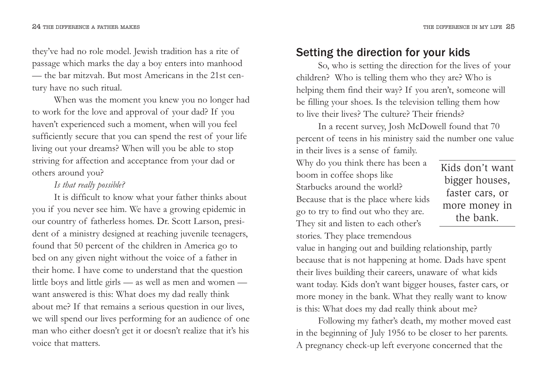they've had no role model. Jewish tradition has a rite of passage which marks the day a boy enters into manhood — the bar mitzvah. But most Americans in the 21st century have no such ritual.

When was the moment you knew you no longer had to work for the love and approval of your dad? If you haven't experienced such a moment, when will you feel sufficiently secure that you can spend the rest of your life living out your dreams? When will you be able to stop striving for affection and acceptance from your dad or others around you?

#### *Is that really possible?*

It is difficult to know what your father thinks about you if you never see him. We have a growing epidemic in our country of fatherless homes. Dr. Scott Larson, president of a ministry designed at reaching juvenile teenagers, found that 50 percent of the children in America go to bed on any given night without the voice of a father in their home. I have come to understand that the question little boys and little girls — as well as men and women want answered is this: What does my dad really think about me? If that remains a serious question in our lives, we will spend our lives performing for an audience of one man who either doesn't get it or doesn't realize that it's his voice that matters.

# Setting the direction for your kids

So, who is setting the direction for the lives of your children? Who is telling them who they are? Who is helping them find their way? If you aren't, someone will be filling your shoes. Is the television telling them how to live their lives? The culture? Their friends?

In a recent survey, Josh McDowell found that 70 percent of teens in his ministry said the number one value in their lives is a sense of family.

Why do you think there has been a boom in coffee shops like Starbucks around the world? Because that is the place where kids go to try to find out who they are. They sit and listen to each other's stories. They place tremendous

Kids don't want bigger houses, faster cars, or more money in the bank.

value in hanging out and building relationship, partly because that is not happening at home. Dads have spent their lives building their careers, unaware of what kids want today. Kids don't want bigger houses, faster cars, or more money in the bank. What they really want to know is this: What does my dad really think about me?

Following my father's death, my mother moved east in the beginning of July 1956 to be closer to her parents. A pregnancy check-up left everyone concerned that the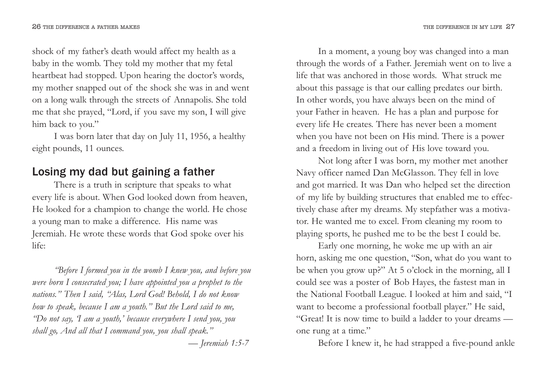shock of my father's death would affect my health as a baby in the womb. They told my mother that my fetal heartbeat had stopped. Upon hearing the doctor's words, my mother snapped out of the shock she was in and went on a long walk through the streets of Annapolis. She told me that she prayed, "Lord, if you save my son, I will give him back to you."

I was born later that day on July 11, 1956, a healthy eight pounds, 11 ounces.

## Losing my dad but gaining a father

There is a truth in scripture that speaks to what every life is about. When God looked down from heaven, He looked for a champion to change the world. He chose a young man to make a difference. His name was Jeremiah. He wrote these words that God spoke over his life:

*"Before I formed you in the womb I knew you, and before you were born I consecrated you; I have appointed you a prophet to the nations." Then I said, "Alas, Lord God! Behold, I do not know how to speak, because I am a youth." But the Lord said to me, "Do not say, 'I am a youth,' because everywhere I send you, you shall go, And all that I command you, you shall speak."*

*— Jeremiah 1:5-7*

In a moment, a young boy was changed into a man through the words of a Father. Jeremiah went on to live a life that was anchored in those words. What struck me about this passage is that our calling predates our birth. In other words, you have always been on the mind of your Father in heaven. He has a plan and purpose for every life He creates. There has never been a moment when you have not been on His mind. There is a power and a freedom in living out of His love toward you.

Not long after I was born, my mother met another Navy officer named Dan McGlasson. They fell in love and got married. It was Dan who helped set the direction of my life by building structures that enabled me to effectively chase after my dreams. My stepfather was a motivator. He wanted me to excel. From cleaning my room to playing sports, he pushed me to be the best I could be.

Early one morning, he woke me up with an air horn, asking me one question, "Son, what do you want to be when you grow up?" At 5 o'clock in the morning, all I could see was a poster of Bob Hayes, the fastest man in the National Football League. I looked at him and said, "I want to become a professional football player." He said, "Great! It is now time to build a ladder to your dreams one rung at a time."

Before I knew it, he had strapped a five-pound ankle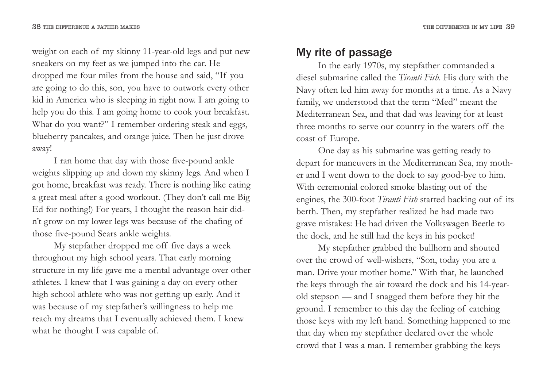weight on each of my skinny 11-year-old legs and put new sneakers on my feet as we jumped into the car. He dropped me four miles from the house and said, "If you are going to do this, son, you have to outwork every other kid in America who is sleeping in right now. I am going to help you do this. I am going home to cook your breakfast. What do you want?" I remember ordering steak and eggs, blueberry pancakes, and orange juice. Then he just drove away!

I ran home that day with those five-pound ankle weights slipping up and down my skinny legs. And when I got home, breakfast was ready. There is nothing like eating a great meal after a good workout. (They don't call me Big Ed for nothing!) For years, I thought the reason hair didn't grow on my lower legs was because of the chafing of those five-pound Sears ankle weights.

My stepfather dropped me off five days a week throughout my high school years. That early morning structure in my life gave me a mental advantage over other athletes. I knew that I was gaining a day on every other high school athlete who was not getting up early. And it was because of my stepfather's willingness to help me reach my dreams that I eventually achieved them. I knew what he thought I was capable of.

# My rite of passage

In the early 1970s, my stepfather commanded a diesel submarine called the *Tiranti Fish*. His duty with the Navy often led him away for months at a time. As a Navy family, we understood that the term "Med" meant the Mediterranean Sea, and that dad was leaving for at least three months to serve our country in the waters off the coast of Europe.

One day as his submarine was getting ready to depart for maneuvers in the Mediterranean Sea, my mother and I went down to the dock to say good-bye to him. With ceremonial colored smoke blasting out of the engines, the 300-foot *Tiranti Fish* started backing out of its berth. Then, my stepfather realized he had made two grave mistakes: He had driven the Volkswagen Beetle to the dock, and he still had the keys in his pocket!

My stepfather grabbed the bullhorn and shouted over the crowd of well-wishers, "Son, today you are a man. Drive your mother home." With that, he launched the keys through the air toward the dock and his 14-yearold stepson — and I snagged them before they hit the ground. I remember to this day the feeling of catching those keys with my left hand. Something happened to me that day when my stepfather declared over the whole crowd that I was a man. I remember grabbing the keys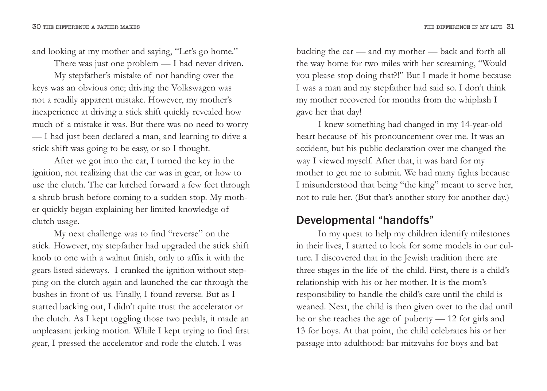and looking at my mother and saying, "Let's go home."

There was just one problem — I had never driven.

My stepfather's mistake of not handing over the keys was an obvious one; driving the Volkswagen was not a readily apparent mistake. However, my mother's inexperience at driving a stick shift quickly revealed how much of a mistake it was. But there was no need to worry — I had just been declared a man, and learning to drive a stick shift was going to be easy, or so I thought.

After we got into the car, I turned the key in the ignition, not realizing that the car was in gear, or how to use the clutch. The car lurched forward a few feet through a shrub brush before coming to a sudden stop. My mother quickly began explaining her limited knowledge of clutch usage.

My next challenge was to find "reverse" on the stick. However, my stepfather had upgraded the stick shift knob to one with a walnut finish, only to affix it with the gears listed sideways. I cranked the ignition without stepping on the clutch again and launched the car through the bushes in front of us. Finally, I found reverse. But as I started backing out, I didn't quite trust the accelerator or the clutch. As I kept toggling those two pedals, it made an unpleasant jerking motion. While I kept trying to find first gear, I pressed the accelerator and rode the clutch. I was

bucking the car — and my mother — back and forth all the way home for two miles with her screaming, "Would you please stop doing that?!" But I made it home because I was a man and my stepfather had said so. I don't think my mother recovered for months from the whiplash I gave her that day!

I knew something had changed in my 14-year-old heart because of his pronouncement over me. It was an accident, but his public declaration over me changed the way I viewed myself. After that, it was hard for my mother to get me to submit. We had many fights because I misunderstood that being "the king" meant to serve her, not to rule her. (But that's another story for another day.)

## Developmental "handoffs"

In my quest to help my children identify milestones in their lives, I started to look for some models in our culture. I discovered that in the Jewish tradition there are three stages in the life of the child. First, there is a child's relationship with his or her mother. It is the mom's responsibility to handle the child's care until the child is weaned. Next, the child is then given over to the dad until he or she reaches the age of puberty — 12 for girls and 13 for boys. At that point, the child celebrates his or her passage into adulthood: bar mitzvahs for boys and bat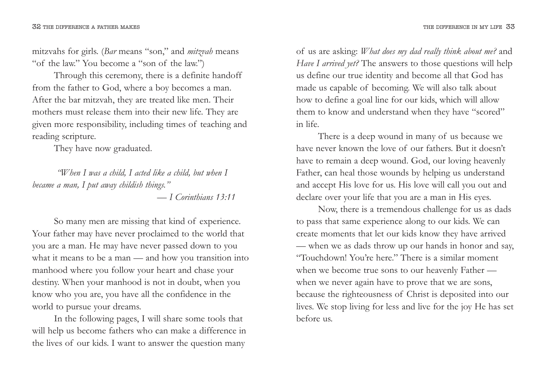mitzvahs for girls. (*Bar* means "son," and *mitzvah* means "of the law." You become a "son of the law.")

Through this ceremony, there is a definite handoff from the father to God, where a boy becomes a man. After the bar mitzvah, they are treated like men. Their mothers must release them into their new life. They are given more responsibility, including times of teaching and reading scripture.

They have now graduated.

*"When I was a child, I acted like a child, but when I became a man, I put away childish things." — I Corinthians 13:11*

So many men are missing that kind of experience. Your father may have never proclaimed to the world that you are a man. He may have never passed down to you what it means to be a man — and how you transition into manhood where you follow your heart and chase your destiny. When your manhood is not in doubt, when you know who you are, you have all the confidence in the world to pursue your dreams.

In the following pages, I will share some tools that will help us become fathers who can make a difference in the lives of our kids. I want to answer the question many

of us are asking: *What does my dad really think about me?* and *Have I arrived yet?* The answers to those questions will help us define our true identity and become all that God has made us capable of becoming. We will also talk about how to define a goal line for our kids, which will allow them to know and understand when they have "scored" in life.

There is a deep wound in many of us because we have never known the love of our fathers. But it doesn't have to remain a deep wound. God, our loving heavenly Father, can heal those wounds by helping us understand and accept His love for us. His love will call you out and declare over your life that you are a man in His eyes.

Now, there is a tremendous challenge for us as dads to pass that same experience along to our kids. We can create moments that let our kids know they have arrived — when we as dads throw up our hands in honor and say, "Touchdown! You're here." There is a similar moment when we become true sons to our heavenly Father when we never again have to prove that we are sons, because the righteousness of Christ is deposited into our lives. We stop living for less and live for the joy He has set before us.